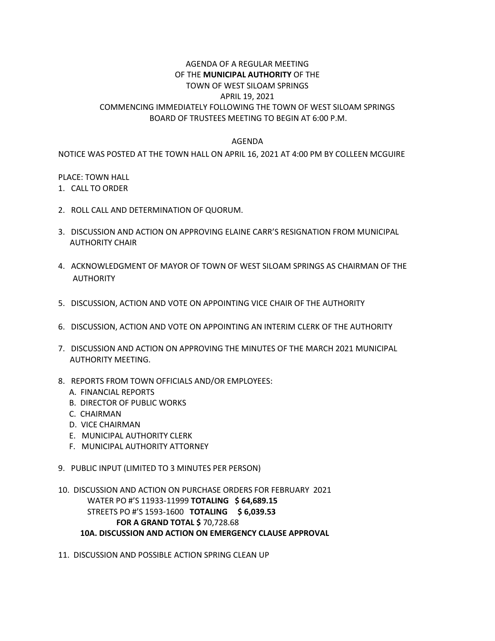## AGENDA OF A REGULAR MEETING OF THE **MUNICIPAL AUTHORITY** OF THE TOWN OF WEST SILOAM SPRINGS APRIL 19, 2021 COMMENCING IMMEDIATELY FOLLOWING THE TOWN OF WEST SILOAM SPRINGS BOARD OF TRUSTEES MEETING TO BEGIN AT 6:00 P.M.

## AGENDA

## NOTICE WAS POSTED AT THE TOWN HALL ON APRIL 16, 2021 AT 4:00 PM BY COLLEEN MCGUIRE

## PLACE: TOWN HALL

- 1. CALL TO ORDER
- 2. ROLL CALL AND DETERMINATION OF QUORUM.
- 3. DISCUSSION AND ACTION ON APPROVING ELAINE CARR'S RESIGNATION FROM MUNICIPAL AUTHORITY CHAIR
- 4. ACKNOWLEDGMENT OF MAYOR OF TOWN OF WEST SILOAM SPRINGS AS CHAIRMAN OF THE AUTHORITY
- 5. DISCUSSION, ACTION AND VOTE ON APPOINTING VICE CHAIR OF THE AUTHORITY
- 6. DISCUSSION, ACTION AND VOTE ON APPOINTING AN INTERIM CLERK OF THE AUTHORITY
- 7. DISCUSSION AND ACTION ON APPROVING THE MINUTES OF THE MARCH 2021 MUNICIPAL AUTHORITY MEETING.
- 8. REPORTS FROM TOWN OFFICIALS AND/OR EMPLOYEES:
	- A. FINANCIAL REPORTS
	- B. DIRECTOR OF PUBLIC WORKS
	- C. CHAIRMAN
	- D. VICE CHAIRMAN
	- E. MUNICIPAL AUTHORITY CLERK
	- F. MUNICIPAL AUTHORITY ATTORNEY
- 9. PUBLIC INPUT (LIMITED TO 3 MINUTES PER PERSON)
- 10. DISCUSSION AND ACTION ON PURCHASE ORDERS FOR FEBRUARY 2021 WATER PO #'S 11933-11999 **TOTALING \$ 64,689.15** STREETS PO #'S 1593-1600 **TOTALING \$ 6,039.53 FOR A GRAND TOTAL \$** 70,728.68 **10A. DISCUSSION AND ACTION ON EMERGENCY CLAUSE APPROVAL**
- 11. DISCUSSION AND POSSIBLE ACTION SPRING CLEAN UP